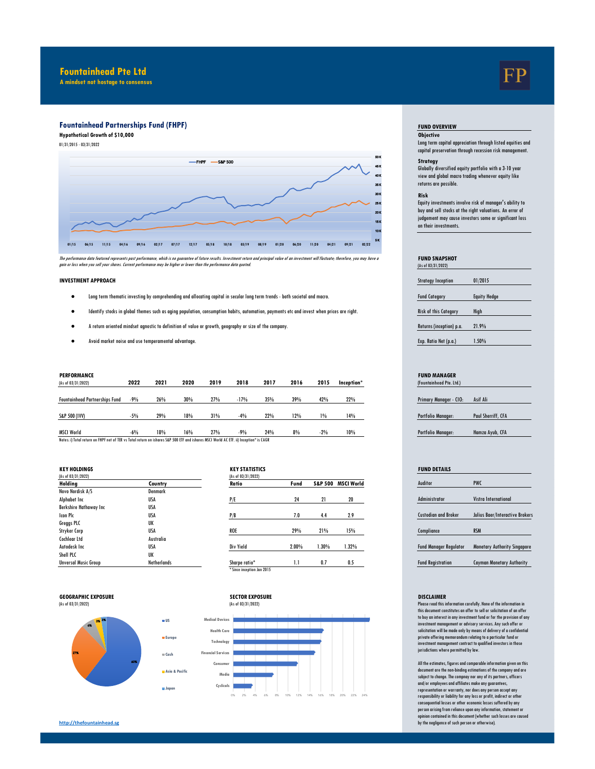## **Fountainhead Pte Ltd**

**A mindset not hostage to consensus**

# **Fountainhead Partnerships Fund (FHPF)**

**Hypothetical Growth of \$10,000 Objective**

01/31/2015 - 03/31/2022



The performance data featured represents past performance, which is no guarantee of turbus. Investment and principal value of an investment will fluctuate; therefore, you may have a<br>gain or loss when you sell your shares.

#### **INVESTMENT APPROACH**

- Fund Category Equity Hedge Long term thematic investing by comprehending and allocating capital in secular long term trends both societal and macro.
- Risk of this Category High Identify stocks in global themes such as aging population, consumption habits, automation, payments etc and invest when prices are right.
- Returns (inception) p.a. 21.9% A return oriented mindset agnostic to definition of value or growth, geography or size of the company.
- Exp. Ratio Net (p.a.) 1.50% Avoid market noise and use temperamental advantage.

| (As of 03/31/2022)                                                                                                                     | 2022  | 2021 | 2020 | 2019 | 2018   | 2017 | 2016 | 2015  | Inception* | (Fountainhead Pte. Ltd.)      |                    |
|----------------------------------------------------------------------------------------------------------------------------------------|-------|------|------|------|--------|------|------|-------|------------|-------------------------------|--------------------|
| <b>Fountainhead Partnerships Fund</b>                                                                                                  | $-9%$ | 26%  | 30%  | 27%  | $-17%$ | 35%  | 39%  | 42%   | 22%        | <b>Primary Manager - CIO:</b> | Asif Ali           |
| S&P 500 (IVV)                                                                                                                          | $-5%$ | 29%  | 18%  | 31%  | $-4%$  | 22%  | 12%  | 1%    | 14%        | <b>Portfolio Manager:</b>     | Paul Sherriff, CFA |
| <b>MSCI World</b>                                                                                                                      | $-6%$ | 18%  | 16%  | 27%  | $-9%$  | 24%  | 8%   | $-2%$ | 10%        | <b>Portfolio Manager:</b>     | Hamza Ayub, CFA    |
| Notes: i) Total return on FHPF net of TER vs Total return on ishares S&P 500 ETF and ishares MSCI World AC ETF. ii) Inception* is CAGR |       |      |      |      |        |      |      |       |            |                               |                    |

| (As of 03/31/2022)          |             | (As of 03/31/2022) |
|-----------------------------|-------------|--------------------|
| Holding                     | Country     | Ratio              |
| Novo Nordisk A/S            | Denmark     |                    |
| Alphabet Inc                | USA         | P/E                |
| Berkshire Hathaway Inc      | USA         |                    |
| <b>Icon PIc</b>             | USA         | P/B                |
| Greggs PLC                  | UK          |                    |
| <b>Stryker Corp</b>         | USA         | <b>ROE</b>         |
| <b>Cochlear Ltd</b>         | Australia   |                    |
| Autodesk Inc.               | <b>USA</b>  | Div Yield          |
| Shell PLC                   | UK          |                    |
| <b>Unversal Music Group</b> | Netherlands | Sharpe ratio*      |

| <b>KEY HOLDINGS</b>    |             | <b>KEY STATISTICS</b>      |       |          |                    | <b>FUND DETAILS</b>           |                           |
|------------------------|-------------|----------------------------|-------|----------|--------------------|-------------------------------|---------------------------|
| (As of 03/31/2022)     |             | (As of 03/31/2022)         |       |          |                    |                               |                           |
| Holding                | Country     | Ratio                      | Fund  |          | S&P 500 MSCI World | Auditor                       | <b>PWC</b>                |
| Novo Nordisk A/S       | Denmark     |                            |       |          |                    |                               |                           |
| Alphabet Inc           | <b>USA</b>  | P/E                        | 24    | 21       | 20                 | <b>Administrator</b>          | Vistra International      |
| Berkshire Hathaway Inc | <b>USA</b>  |                            |       |          |                    |                               |                           |
| Icon Plc               | <b>USA</b>  | P/B                        | 7.0   | 4.4      | 2.9                | <b>Custodian and Broker</b>   | Julius Baer/Interact      |
| Greggs PLC             | UK          |                            |       |          |                    |                               |                           |
| Stryker Corp           | <b>USA</b>  | <b>ROE</b>                 | 29%   | 21%      | 15%                | Compliance                    | <b>RSM</b>                |
| Cochlear Ltd           | Australia   |                            |       |          |                    |                               |                           |
| Autodesk Inc           | <b>USA</b>  | Div Yield                  | 2.00% | $1.30\%$ | $1.32\%$           | <b>Fund Manager Regulator</b> | <b>Monetary Authority</b> |
| Shell PLC              | UK          |                            |       |          |                    |                               |                           |
| Unversal Music Group   | Netherlands | Sharpe ratio*              | 1.1   | 0.7      | 0.5                | <b>Fund Registration</b>      | <b>Cayman Monetary /</b>  |
|                        |             | * Since inception Jan 2015 |       |          |                    |                               |                           |









### **FUND OVERVIEW**

Long term capital appreciation through listed equities and capital preservation through recession risk management.

## **Strategy**

Globally diversified equity portfolio with a 3-10 year view and global macro trading whenever equity like returns are possible.

#### **Risk**

Equity investments involve risk of manager's ability to buy and sell stocks at the right valuations. An error of judgement may cause investors some or significant loss on their investments.

#### **FUND SNAPSHOT**  (As of 03/31/2022)

| <b>Strategy Inception</b>    | 01/2015             |
|------------------------------|---------------------|
| <b>Fund Category</b>         | <b>Equity Hedge</b> |
| <b>Risk of this Category</b> | High                |
| Returns (inception) p.a.     | 21.9%               |
| Exp. Ratio Net (p.a.)        | 1.50%               |

#### **PERFORMANCE FUND MANAGER**

| 11 JULIUILLIOUU I IG. LIU. <i>J</i> |                    |
|-------------------------------------|--------------------|
| Primary Manager - CIO:              | Asif Ali           |
|                                     |                    |
|                                     |                    |
| <b>Portfolio Manager:</b>           | Paul Sherriff, CFA |
|                                     |                    |
| <b>Portfolio Manager:</b>           | Hamza Ayub, CFA    |
|                                     |                    |

# Custodian and Broker Julius Baer/Interactive Brokers Fund Manager Regulator Monetary Authority Singapore Fund Registration Cayman Monetary Authority

Please read this information carefully. None of the information in this document constitutes an offer to sell or solicitation of an offer to buy an interest in any investment fund or for the provision of any investment management or advisory services. Any such offer or solicitation will be made only by means of delivery of a confidential private offering memorandum relating to a particular fund or investment management contract to qualified investors in those jurisdictions where permitted by law.

All the estimates, figures and comparable information given on this document are the non-binding estimations of the company and are subject to change. The compnay nor any of its partners, officers and/or employees and affiliates make any guarantees, representation or warranty, nor does any person accept any responsibility or liability for any loss or profit, indirect or other consequential losses or other economic losses suffered by any person arising from reliance upon any information, statement or opinion contained in this document (whether such losses are caused by the negligence of such person or otherwise).